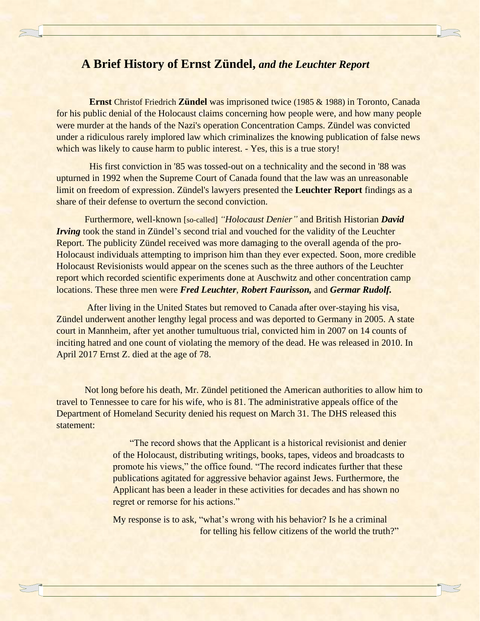## **A Brief History of Ernst Zündel,** *and the Leuchter Report*

 **Ernst** Christof Friedrich **Zündel** was imprisoned twice (1985 & 1988) in Toronto, Canada for his public denial of the Holocaust claims concerning how people were, and how many people were murder at the hands of the Nazi's operation Concentration Camps. Zündel was convicted under a ridiculous rarely implored law which criminalizes the knowing publication of false news which was likely to cause harm to public interest. - Yes, this is a true story!

 His first conviction in '85 was tossed-out on a technicality and the second in '88 was upturned in 1992 when the Supreme Court of Canada found that the law was an unreasonable limit on freedom of expression. Zündel's lawyers presented the **Leuchter Report** findings as a share of their defense to overturn the second conviction.

Furthermore, well-known [so-called] *"Holocaust Denier"* and British Historian *David Irving took the stand in Zündel's second trial and vouched for the validity of the Leuchter* Report. The publicity Zündel received was more damaging to the overall agenda of the pro-Holocaust individuals attempting to imprison him than they ever expected. Soon, more credible Holocaust Revisionists would appear on the scenes such as the three authors of the Leuchter report which recorded scientific experiments done at Auschwitz and other concentration camp locations. These three men were *Fred Leuchter*, *Robert Faurisson,* and *Germar Rudolf.*

After living in the United States but removed to Canada after over-staying his visa, Zündel underwent another lengthy legal process and was deported to Germany in 2005. A state court in Mannheim, after yet another tumultuous trial, convicted him in 2007 on 14 counts of inciting hatred and one count of violating the memory of the dead. He was released in 2010. In April 2017 Ernst Z. died at the age of 78.

Not long before his death, Mr. Zündel petitioned the American authorities to allow him to travel to Tennessee to care for his wife, who is 81. The administrative appeals office of the Department of Homeland Security denied his request on March 31. The DHS released this statement:

> "The record shows that the Applicant is a historical revisionist and denier of the Holocaust, distributing writings, books, tapes, videos and broadcasts to promote his views," the office found. "The record indicates further that these publications agitated for aggressive behavior against Jews. Furthermore, the Applicant has been a leader in these activities for decades and has shown no regret or remorse for his actions."

My response is to ask, "what's wrong with his behavior? Is he a criminal for telling his fellow citizens of the world the truth?"